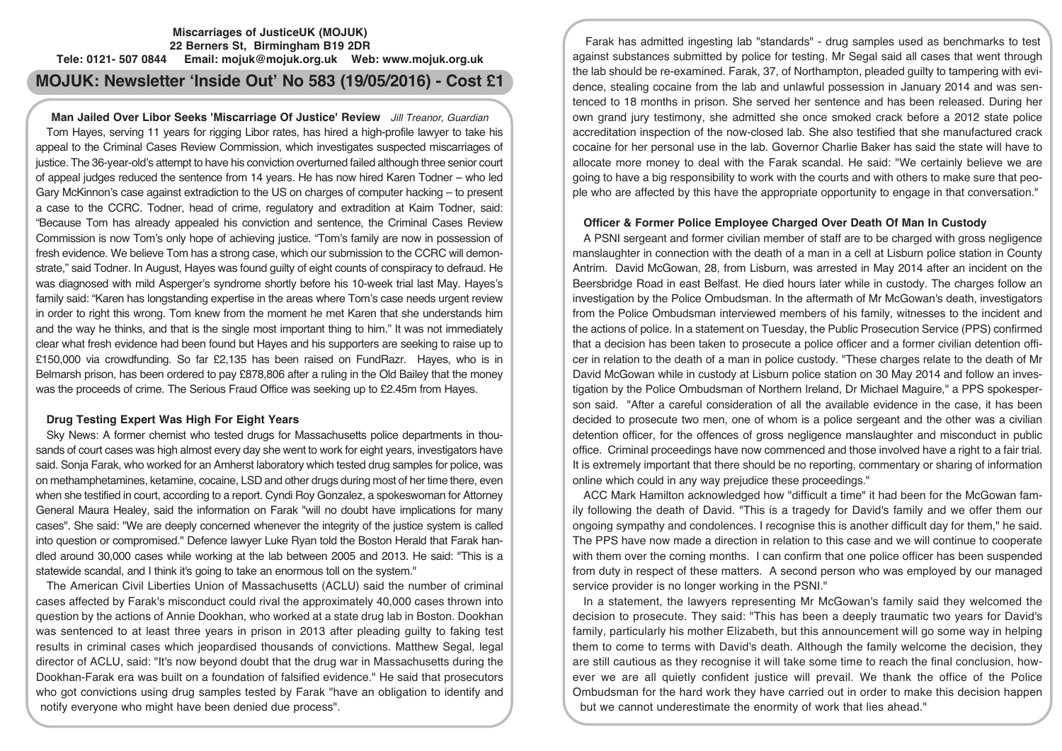## **Miscarriages of JusticeUK (MOJUK) 22 Berners St, Birmingham B19 2DR Tele: 0121- 507 0844 Email: mojuk@mojuk.org.uk Web: www.mojuk.org.uk**

# **MOJUK: Newsletter 'Inside Out' No 583 (19/05/2016) - Cost £1**

**Man Jailed Over Libor Seeks 'Miscarriage Of Justice' Review** *Jill Treanor, Guardian* Tom Hayes, serving 11 years for rigging Libor rates, has hired a high-profile lawyer to take his appeal to the Criminal Cases Review Commission, which investigates suspected miscarriages of justice. The 36-year-old's attempt to have his conviction overturned failed although three senior court of appeal judges reduced the sentence from 14 years. He has now hired Karen Todner – who led Gary McKinnon's case against extradiction to the US on charges of computer hacking – to present a case to the CCRC. Todner, head of crime, regulatory and extradition at Kaim Todner, said: "Because Tom has already appealed his conviction and sentence, the Criminal Cases Review Commission is now Tom's only hope of achieving justice. "Tom's family are now in possession of fresh evidence. We believe Tom has a strong case, which our submission to the CCRC will demonstrate," said Todner. In August, Hayes was found guilty of eight counts of conspiracy to defraud. He was diagnosed with mild Asperger's syndrome shortly before his 10-week trial last May. Hayes's family said: "Karen has longstanding expertise in the areas where Tom's case needs urgent review in order to right this wrong. Tom knew from the moment he met Karen that she understands him and the way he thinks, and that is the single most important thing to him." It was not immediately clear what fresh evidence had been found but Hayes and his supporters are seeking to raise up to £150,000 via crowdfunding. So far £2,135 has been raised on FundRazr. Hayes, who is in Belmarsh prison, has been ordered to pay £878,806 after a ruling in the Old Bailey that the money was the proceeds of crime. The Serious Fraud Office was seeking up to £2.45m from Hayes.

## **Drug Testing Expert Was High For Eight Years**

Sky News: A former chemist who tested drugs for Massachusetts police departments in thousands of court cases was high almost every day she went to work for eight years, investigators have said. Sonja Farak, who worked for an Amherst laboratory which tested drug samples for police, was on methamphetamines, ketamine, cocaine, LSD and other drugs during most of her time there, even when she testified in court, according to a report. Cyndi Roy Gonzalez, a spokeswoman for Attorney General Maura Healey, said the information on Farak "will no doubt have implications for many cases". She said: "We are deeply concerned whenever the integrity of the justice system is called into question or compromised." Defence lawyer Luke Ryan told the Boston Herald that Farak handled around 30,000 cases while working at the lab between 2005 and 2013. He said: "This is a statewide scandal, and I think it's going to take an enormous toll on the system."

The American Civil Liberties Union of Massachusetts (ACLU) said the number of criminal cases affected by Farak's misconduct could rival the approximately 40,000 cases thrown into question by the actions of Annie Dookhan, who worked at a state drug lab in Boston. Dookhan was sentenced to at least three years in prison in 2013 after pleading guilty to faking test results in criminal cases which jeopardised thousands of convictions. Matthew Segal, legal director of ACLU, said: "It's now beyond doubt that the drug war in Massachusetts during the Dookhan-Farak era was built on a foundation of falsified evidence." He said that prosecutors who got convictions using drug samples tested by Farak "have an obligation to identify and notify everyone who might have been denied due process".

Farak has admitted ingesting lab "standards" - drug samples used as benchmarks to test against substances submitted by police for testing. Mr Segal said all cases that went through the lab should be re-examined. Farak, 37, of Northampton, pleaded guilty to tampering with evidence, stealing cocaine from the lab and unlawful possession in January 2014 and was sentenced to 18 months in prison. She served her sentence and has been released. During her own grand jury testimony, she admitted she once smoked crack before a 2012 state police accreditation inspection of the now-closed lab. She also testified that she manufactured crack cocaine for her personal use in the lab. Governor Charlie Baker has said the state will have to allocate more money to deal with the Farak scandal. He said: "We certainly believe we are going to have a big responsibility to work with the courts and with others to make sure that people who are affected by this have the appropriate opportunity to engage in that conversation."

### **Officer & Former Police Employee Charged Over Death Of Man In Custody**

A PSNI sergeant and former civilian member of staff are to be charged with gross negligence manslaughter in connection with the death of a man in a cell at Lisburn police station in County Antrim. David McGowan, 28, from Lisburn, was arrested in May 2014 after an incident on the Beersbridge Road in east Belfast. He died hours later while in custody. The charges follow an investigation by the Police Ombudsman. In the aftermath of Mr McGowan's death, investigators from the Police Ombudsman interviewed members of his family, witnesses to the incident and the actions of police. In a statement on Tuesday, the Public Prosecution Service (PPS) confirmed that a decision has been taken to prosecute a police officer and a former civilian detention officer in relation to the death of a man in police custody. "These charges relate to the death of Mr David McGowan while in custody at Lisburn police station on 30 May 2014 and follow an investigation by the Police Ombudsman of Northern Ireland, Dr Michael Maguire," a PPS spokesperson said. "After a careful consideration of all the available evidence in the case, it has been decided to prosecute two men, one of whom is a police sergeant and the other was a civilian detention officer, for the offences of gross negligence manslaughter and misconduct in public office. Criminal proceedings have now commenced and those involved have a right to a fair trial. It is extremely important that there should be no reporting, commentary or sharing of information online which could in any way prejudice these proceedings."

ACC Mark Hamilton acknowledged how "difficult a time" it had been for the McGowan family following the death of David. "This is a tragedy for David's family and we offer them our ongoing sympathy and condolences. I recognise this is another difficult day for them," he said. The PPS have now made a direction in relation to this case and we will continue to cooperate with them over the coming months. I can confirm that one police officer has been suspended from duty in respect of these matters. A second person who was employed by our managed service provider is no longer working in the PSNI."

In a statement, the lawyers representing Mr McGowan's family said they welcomed the decision to prosecute. They said: "This has been a deeply traumatic two years for David's family, particularly his mother Elizabeth, but this announcement will go some way in helping them to come to terms with David's death. Although the family welcome the decision, they are still cautious as they recognise it will take some time to reach the final conclusion, however we are all quietly confident justice will prevail. We thank the office of the Police Ombudsman for the hard work they have carried out in order to make this decision happen but we cannot underestimate the enormity of work that lies ahead."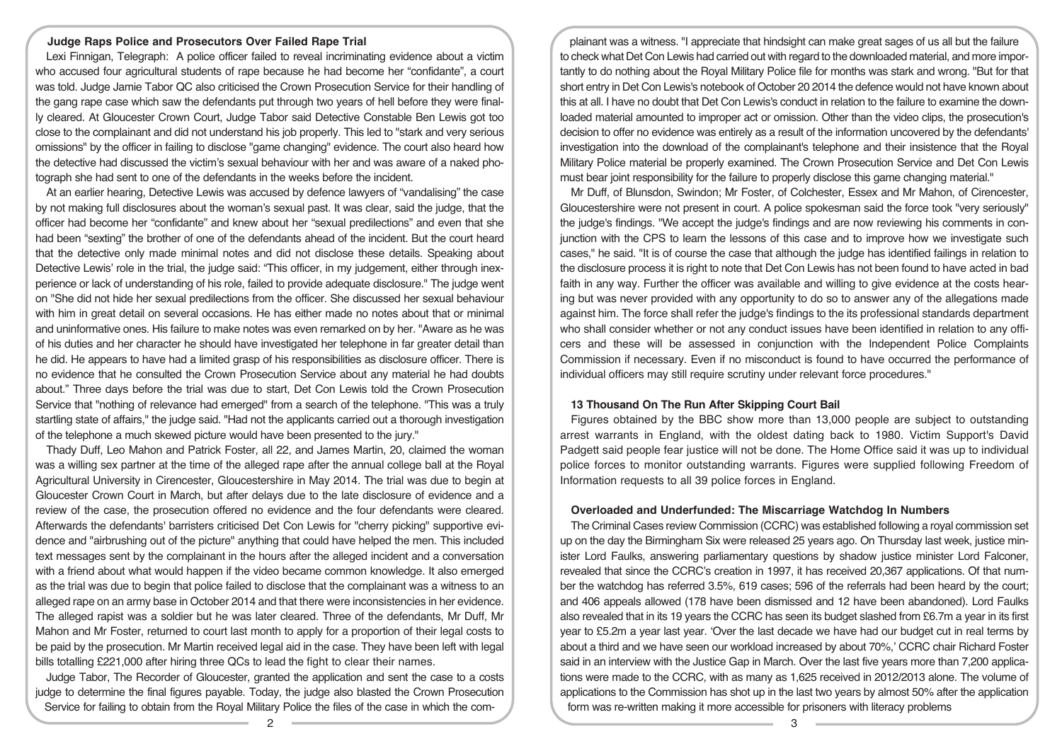## **Judge Raps Police and Prosecutors Over Failed Rape Trial**

Lexi Finnigan, Telegraph: A police officer failed to reveal incriminating evidence about a victim who accused four agricultural students of rape because he had become her "confidante", a court was told. Judge Jamie Tabor QC also criticised the Crown Prosecution Service for their handling of the gang rape case which saw the defendants put through two years of hell before they were finally cleared. At Gloucester Crown Court, Judge Tabor said Detective Constable Ben Lewis got too close to the complainant and did not understand his job properly. This led to "stark and very serious omissions" by the officer in failing to disclose "game changing" evidence. The court also heard how the detective had discussed the victim's sexual behaviour with her and was aware of a naked photograph she had sent to one of the defendants in the weeks before the incident.

At an earlier hearing, Detective Lewis was accused by defence lawyers of "vandalising" the case by not making full disclosures about the woman's sexual past. It was clear, said the judge, that the officer had become her "confidante" and knew about her "sexual predilections" and even that she had been "sexting" the brother of one of the defendants ahead of the incident. But the court heard that the detective only made minimal notes and did not disclose these details. Speaking about Detective Lewis' role in the trial, the judge said: "This officer, in my judgement, either through inexperience or lack of understanding of his role, failed to provide adequate disclosure." The judge went on "She did not hide her sexual predilections from the officer. She discussed her sexual behaviour with him in great detail on several occasions. He has either made no notes about that or minimal and uninformative ones. His failure to make notes was even remarked on by her. "Aware as he was of his duties and her character he should have investigated her telephone in far greater detail than he did. He appears to have had a limited grasp of his responsibilities as disclosure officer. There is no evidence that he consulted the Crown Prosecution Service about any material he had doubts about." Three days before the trial was due to start, Det Con Lewis told the Crown Prosecution Service that "nothing of relevance had emerged" from a search of the telephone. "This was a truly startling state of affairs," the judge said. "Had not the applicants carried out a thorough investigation of the telephone a much skewed picture would have been presented to the jury."

Thady Duff, Leo Mahon and Patrick Foster, all 22, and James Martin, 20, claimed the woman was a willing sex partner at the time of the alleged rape after the annual college ball at the Royal Agricultural University in Cirencester, Gloucestershire in May 2014. The trial was due to begin at Gloucester Crown Court in March, but after delays due to the late disclosure of evidence and a review of the case, the prosecution offered no evidence and the four defendants were cleared. Afterwards the defendants' barristers criticised Det Con Lewis for "cherry picking" supportive evidence and "airbrushing out of the picture" anything that could have helped the men. This included text messages sent by the complainant in the hours after the alleged incident and a conversation with a friend about what would happen if the video became common knowledge. It also emerged as the trial was due to begin that police failed to disclose that the complainant was a witness to an alleged rape on an army base in October 2014 and that there were inconsistencies in her evidence. The alleged rapist was a soldier but he was later cleared. Three of the defendants, Mr Duff, Mr Mahon and Mr Foster, returned to court last month to apply for a proportion of their legal costs to be paid by the prosecution. Mr Martin received legal aid in the case. They have been left with legal bills totalling £221,000 after hiring three QCs to lead the fight to clear their names.

Judge Tabor, The Recorder of Gloucester, granted the application and sent the case to a costs judge to determine the final figures payable. Today, the judge also blasted the Crown Prosecution Service for failing to obtain from the Royal Military Police the files of the case in which the com-

plainant was a witness. "I appreciate that hindsight can make great sages of us all but the failure to check what Det Con Lewis had carried out with regard to the downloaded material, and more importantly to do nothing about the Royal Military Police file for months was stark and wrong. "But for that short entry in Det Con Lewis's notebook of October 20 2014 the defence would not have known about this at all. I have no doubt that Det Con Lewis's conduct in relation to the failure to examine the downloaded material amounted to improper act or omission. Other than the video clips, the prosecution's decision to offer no evidence was entirely as a result of the information uncovered by the defendants' investigation into the download of the complainant's telephone and their insistence that the Royal Military Police material be properly examined. The Crown Prosecution Service and Det Con Lewis must bear joint responsibility for the failure to properly disclose this game changing material."

Mr Duff, of Blunsdon, Swindon; Mr Foster, of Colchester, Essex and Mr Mahon, of Cirencester, Gloucestershire were not present in court. A police spokesman said the force took "very seriously" the judge's findings. "We accept the judge's findings and are now reviewing his comments in conjunction with the CPS to learn the lessons of this case and to improve how we investigate such cases," he said. "It is of course the case that although the judge has identified failings in relation to the disclosure process it is right to note that Det Con Lewis has not been found to have acted in bad faith in any way. Further the officer was available and willing to give evidence at the costs hearing but was never provided with any opportunity to do so to answer any of the allegations made against him. The force shall refer the judge's findings to the its professional standards department who shall consider whether or not any conduct issues have been identified in relation to any officers and these will be assessed in conjunction with the Independent Police Complaints Commission if necessary. Even if no misconduct is found to have occurred the performance of individual officers may still require scrutiny under relevant force procedures."

## **13 Thousand On The Run After Skipping Court Bail**

Figures obtained by the BBC show more than 13,000 people are subject to outstanding arrest warrants in England, with the oldest dating back to 1980. Victim Support's David Padgett said people fear justice will not be done. The Home Office said it was up to individual police forces to monitor outstanding warrants. Figures were supplied following Freedom of Information requests to all 39 police forces in England.

#### **Overloaded and Underfunded: The Miscarriage Watchdog In Numbers**

The Criminal Cases review Commission (CCRC) was established following a royal commission set up on the day the Birmingham Six were released 25 years ago. On Thursday last week, justice minister Lord Faulks, answering parliamentary questions by shadow justice minister Lord Falconer, revealed that since the CCRC's creation in 1997, it has received 20,367 applications. Of that number the watchdog has referred 3.5%, 619 cases; 596 of the referrals had been heard by the court; and 406 appeals allowed (178 have been dismissed and 12 have been abandoned). Lord Faulks also revealed that in its 19 years the CCRC has seen its budget slashed from £6.7m a year in its first year to £5.2m a year last year. 'Over the last decade we have had our budget cut in real terms by about a third and we have seen our workload increased by about 70%,' CCRC chair Richard Foster said in an interview with the Justice Gap in March. Over the last five years more than 7,200 applications were made to the CCRC, with as many as 1,625 received in 2012/2013 alone. The volume of applications to the Commission has shot up in the last two years by almost 50% after the application form was re-written making it more accessible for prisoners with literacy problems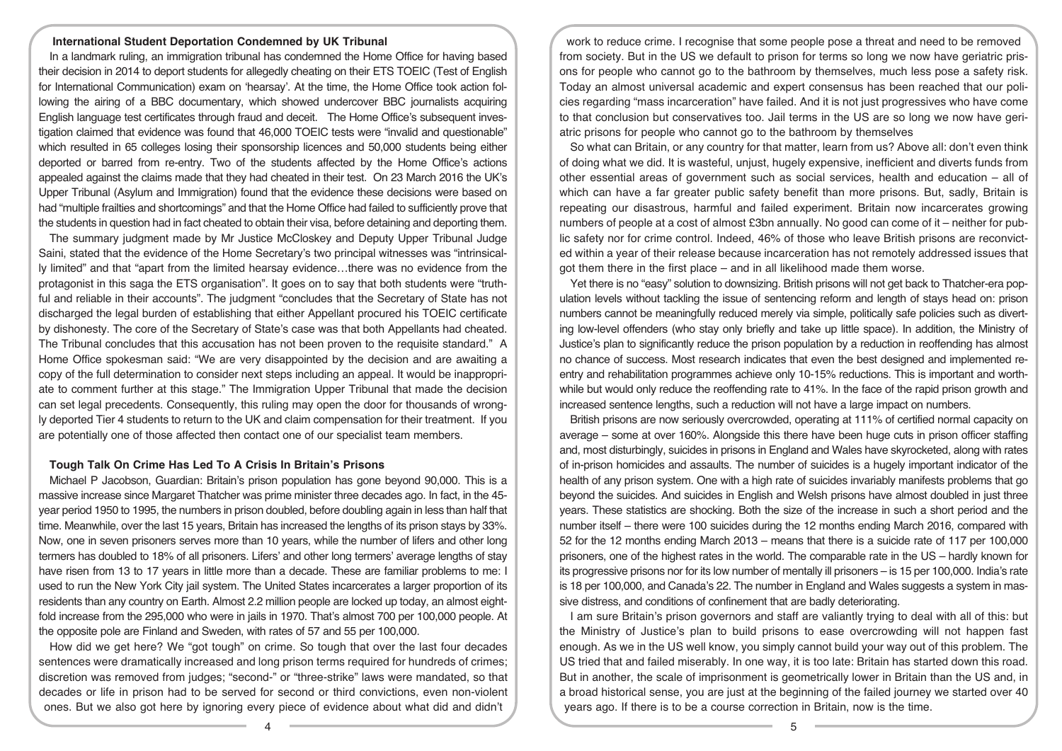#### **International Student Deportation Condemned by UK Tribunal**

In a landmark ruling, an immigration tribunal has condemned the Home Office for having based their decision in 2014 to deport students for allegedly cheating on their ETS TOEIC (Test of English for International Communication) exam on 'hearsay'. At the time, the Home Office took action following the airing of a BBC documentary, which showed undercover BBC journalists acquiring English language test certificates through fraud and deceit. The Home Office's subsequent investigation claimed that evidence was found that 46,000 TOEIC tests were "invalid and questionable" which resulted in 65 colleges losing their sponsorship licences and 50,000 students being either deported or barred from re-entry. Two of the students affected by the Home Office's actions appealed against the claims made that they had cheated in their test. On 23 March 2016 the UK's Upper Tribunal (Asylum and Immigration) found that the evidence these decisions were based on had "multiple frailties and shortcomings" and that the Home Office had failed to sufficiently prove that the students in question had in fact cheated to obtain their visa, before detaining and deporting them.

The summary judgment made by Mr Justice McCloskey and Deputy Upper Tribunal Judge Saini, stated that the evidence of the Home Secretary's two principal witnesses was "intrinsically limited" and that "apart from the limited hearsay evidence…there was no evidence from the protagonist in this saga the ETS organisation". It goes on to say that both students were "truthful and reliable in their accounts". The judgment "concludes that the Secretary of State has not discharged the legal burden of establishing that either Appellant procured his TOEIC certificate by dishonesty. The core of the Secretary of State's case was that both Appellants had cheated. The Tribunal concludes that this accusation has not been proven to the requisite standard." A Home Office spokesman said: "We are very disappointed by the decision and are awaiting a copy of the full determination to consider next steps including an appeal. It would be inappropriate to comment further at this stage." The Immigration Upper Tribunal that made the decision can set legal precedents. Consequently, this ruling may open the door for thousands of wrongly deported Tier 4 students to return to the UK and claim compensation for their treatment. If you are potentially one of those affected then contact one of our specialist team members.

### **Tough Talk On Crime Has Led To A Crisis In Britain's Prisons**

Michael P Jacobson, Guardian: Britain's prison population has gone beyond 90,000. This is a massive increase since Margaret Thatcher was prime minister three decades ago. In fact, in the 45 year period 1950 to 1995, the numbers in prison doubled, before doubling again in less than half that time. Meanwhile, over the last 15 years, Britain has increased the lengths of its prison stays by 33%. Now, one in seven prisoners serves more than 10 years, while the number of lifers and other long termers has doubled to 18% of all prisoners. Lifers' and other long termers' average lengths of stay have risen from 13 to 17 years in little more than a decade. These are familiar problems to me: I used to run the New York City jail system. The United States incarcerates a larger proportion of its residents than any country on Earth. Almost 2.2 million people are locked up today, an almost eightfold increase from the 295,000 who were in jails in 1970. That's almost 700 per 100,000 people. At the opposite pole are Finland and Sweden, with rates of 57 and 55 per 100,000.

How did we get here? We "got tough" on crime. So tough that over the last four decades sentences were dramatically increased and long prison terms required for hundreds of crimes; discretion was removed from judges; "second-" or "three-strike" laws were mandated, so that decades or life in prison had to be served for second or third convictions, even non-violent ones. But we also got here by ignoring every piece of evidence about what did and didn't

work to reduce crime. I recognise that some people pose a threat and need to be removed from society. But in the US we default to prison for terms so long we now have geriatric prisons for people who cannot go to the bathroom by themselves, much less pose a safety risk. Today an almost universal academic and expert consensus has been reached that our policies regarding "mass incarceration" have failed. And it is not just progressives who have come to that conclusion but conservatives too. Jail terms in the US are so long we now have geriatric prisons for people who cannot go to the bathroom by themselves

So what can Britain, or any country for that matter, learn from us? Above all: don't even think of doing what we did. It is wasteful, unjust, hugely expensive, inefficient and diverts funds from other essential areas of government such as social services, health and education – all of which can have a far greater public safety benefit than more prisons. But, sadly, Britain is repeating our disastrous, harmful and failed experiment. Britain now incarcerates growing numbers of people at a cost of almost £3bn annually. No good can come of it – neither for public safety nor for crime control. Indeed, 46% of those who leave British prisons are reconvicted within a year of their release because incarceration has not remotely addressed issues that got them there in the first place – and in all likelihood made them worse.

Yet there is no "easy" solution to downsizing. British prisons will not get back to Thatcher-era population levels without tackling the issue of sentencing reform and length of stays head on: prison numbers cannot be meaningfully reduced merely via simple, politically safe policies such as diverting low-level offenders (who stay only briefly and take up little space). In addition, the Ministry of Justice's plan to significantly reduce the prison population by a reduction in reoffending has almost no chance of success. Most research indicates that even the best designed and implemented reentry and rehabilitation programmes achieve only 10-15% reductions. This is important and worthwhile but would only reduce the reoffending rate to 41%. In the face of the rapid prison growth and increased sentence lengths, such a reduction will not have a large impact on numbers.

British prisons are now seriously overcrowded, operating at 111% of certified normal capacity on average – some at over 160%. Alongside this there have been huge cuts in prison officer staffing and, most disturbingly, suicides in prisons in England and Wales have skyrocketed, along with rates of in-prison homicides and assaults. The number of suicides is a hugely important indicator of the health of any prison system. One with a high rate of suicides invariably manifests problems that go beyond the suicides. And suicides in English and Welsh prisons have almost doubled in just three years. These statistics are shocking. Both the size of the increase in such a short period and the number itself – there were 100 suicides during the 12 months ending March 2016, compared with 52 for the 12 months ending March 2013 – means that there is a suicide rate of 117 per 100,000 prisoners, one of the highest rates in the world. The comparable rate in the US – hardly known for its progressive prisons nor for its low number of mentally ill prisoners – is 15 per 100,000. India's rate is 18 per 100,000, and Canada's 22. The number in England and Wales suggests a system in massive distress, and conditions of confinement that are badly deteriorating.

I am sure Britain's prison governors and staff are valiantly trying to deal with all of this: but the Ministry of Justice's plan to build prisons to ease overcrowding will not happen fast enough. As we in the US well know, you simply cannot build your way out of this problem. The US tried that and failed miserably. In one way, it is too late: Britain has started down this road. But in another, the scale of imprisonment is geometrically lower in Britain than the US and, in a broad historical sense, you are just at the beginning of the failed journey we started over 40 years ago. If there is to be a course correction in Britain, now is the time.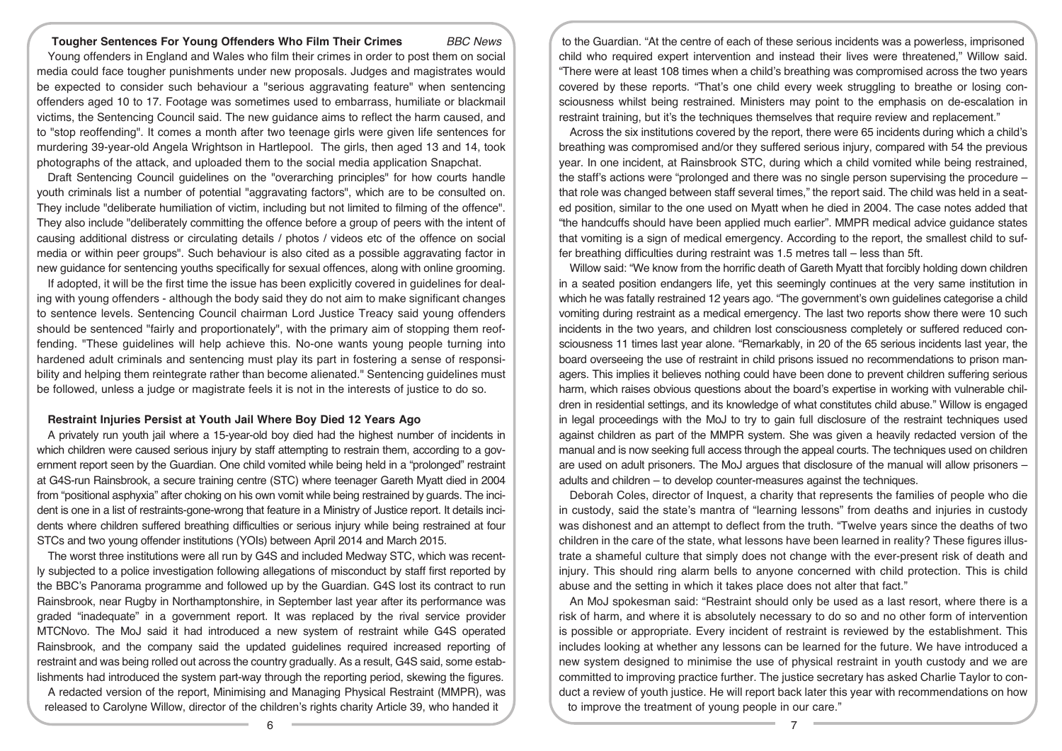## **Tougher Sentences For Young Offenders Who Film Their Crimes** *BBC News*

Young offenders in England and Wales who film their crimes in order to post them on social media could face tougher punishments under new proposals. Judges and magistrates would be expected to consider such behaviour a "serious aggravating feature" when sentencing offenders aged 10 to 17. Footage was sometimes used to embarrass, humiliate or blackmail victims, the Sentencing Council said. The new guidance aims to reflect the harm caused, and to "stop reoffending". It comes a month after two teenage girls were given life sentences for murdering 39-year-old Angela Wrightson in Hartlepool. The girls, then aged 13 and 14, took photographs of the attack, and uploaded them to the social media application Snapchat.

Draft Sentencing Council guidelines on the "overarching principles" for how courts handle youth criminals list a number of potential "aggravating factors", which are to be consulted on. They include "deliberate humiliation of victim, including but not limited to filming of the offence". They also include "deliberately committing the offence before a group of peers with the intent of causing additional distress or circulating details / photos / videos etc of the offence on social media or within peer groups". Such behaviour is also cited as a possible aggravating factor in new guidance for sentencing youths specifically for sexual offences, along with online grooming.

If adopted, it will be the first time the issue has been explicitly covered in guidelines for dealing with young offenders - although the body said they do not aim to make significant changes to sentence levels. Sentencing Council chairman Lord Justice Treacy said young offenders should be sentenced "fairly and proportionately", with the primary aim of stopping them reoffending. "These guidelines will help achieve this. No-one wants young people turning into hardened adult criminals and sentencing must play its part in fostering a sense of responsibility and helping them reintegrate rather than become alienated." Sentencing guidelines must be followed, unless a judge or magistrate feels it is not in the interests of justice to do so.

### **Restraint Injuries Persist at Youth Jail Where Boy Died 12 Years Ago**

A privately run youth jail where a 15-year-old boy died had the highest number of incidents in which children were caused serious injury by staff attempting to restrain them, according to a government report seen by the Guardian. One child vomited while being held in a "prolonged" restraint at G4S-run Rainsbrook, a secure training centre (STC) where teenager Gareth Myatt died in 2004 from "positional asphyxia" after choking on his own vomit while being restrained by guards. The incident is one in a list of restraints-gone-wrong that feature in a Ministry of Justice report. It details incidents where children suffered breathing difficulties or serious injury while being restrained at four STCs and two young offender institutions (YOIs) between April 2014 and March 2015.

The worst three institutions were all run by G4S and included Medway STC, which was recently subjected to a police investigation following allegations of misconduct by staff first reported by the BBC's Panorama programme and followed up by the Guardian. G4S lost its contract to run Rainsbrook, near Rugby in Northamptonshire, in September last year after its performance was graded "inadequate" in a government report. It was replaced by the rival service provider MTCNovo. The MoJ said it had introduced a new system of restraint while G4S operated Rainsbrook, and the company said the updated guidelines required increased reporting of restraint and was being rolled out across the country gradually. As a result, G4S said, some establishments had introduced the system part-way through the reporting period, skewing the figures. A redacted version of the report, Minimising and Managing Physical Restraint (MMPR), was

released to Carolyne Willow, director of the children's rights charity Article 39, who handed it

to the Guardian. "At the centre of each of these serious incidents was a powerless, imprisoned child who required expert intervention and instead their lives were threatened," Willow said. "There were at least 108 times when a child's breathing was compromised across the two years covered by these reports. "That's one child every week struggling to breathe or losing consciousness whilst being restrained. Ministers may point to the emphasis on de-escalation in restraint training, but it's the techniques themselves that require review and replacement."

Across the six institutions covered by the report, there were 65 incidents during which a child's breathing was compromised and/or they suffered serious injury, compared with 54 the previous year. In one incident, at Rainsbrook STC, during which a child vomited while being restrained, the staff's actions were "prolonged and there was no single person supervising the procedure – that role was changed between staff several times," the report said. The child was held in a seated position, similar to the one used on Myatt when he died in 2004. The case notes added that "the handcuffs should have been applied much earlier". MMPR medical advice guidance states that vomiting is a sign of medical emergency. According to the report, the smallest child to suffer breathing difficulties during restraint was 1.5 metres tall – less than 5ft.

Willow said: "We know from the horrific death of Gareth Myatt that forcibly holding down children in a seated position endangers life, yet this seemingly continues at the very same institution in which he was fatally restrained 12 years ago. "The government's own guidelines categorise a child vomiting during restraint as a medical emergency. The last two reports show there were 10 such incidents in the two years, and children lost consciousness completely or suffered reduced consciousness 11 times last year alone. "Remarkably, in 20 of the 65 serious incidents last year, the board overseeing the use of restraint in child prisons issued no recommendations to prison managers. This implies it believes nothing could have been done to prevent children suffering serious harm, which raises obvious questions about the board's expertise in working with vulnerable children in residential settings, and its knowledge of what constitutes child abuse." Willow is engaged in legal proceedings with the MoJ to try to gain full disclosure of the restraint techniques used against children as part of the MMPR system. She was given a heavily redacted version of the manual and is now seeking full access through the appeal courts. The techniques used on children are used on adult prisoners. The MoJ argues that disclosure of the manual will allow prisoners – adults and children – to develop counter-measures against the techniques.

Deborah Coles, director of Inquest, a charity that represents the families of people who die in custody, said the state's mantra of "learning lessons" from deaths and injuries in custody was dishonest and an attempt to deflect from the truth. "Twelve years since the deaths of two children in the care of the state, what lessons have been learned in reality? These figures illustrate a shameful culture that simply does not change with the ever-present risk of death and injury. This should ring alarm bells to anyone concerned with child protection. This is child abuse and the setting in which it takes place does not alter that fact."

An MoJ spokesman said: "Restraint should only be used as a last resort, where there is a risk of harm, and where it is absolutely necessary to do so and no other form of intervention is possible or appropriate. Every incident of restraint is reviewed by the establishment. This includes looking at whether any lessons can be learned for the future. We have introduced a new system designed to minimise the use of physical restraint in youth custody and we are committed to improving practice further. The justice secretary has asked Charlie Taylor to conduct a review of youth justice. He will report back later this year with recommendations on how to improve the treatment of young people in our care."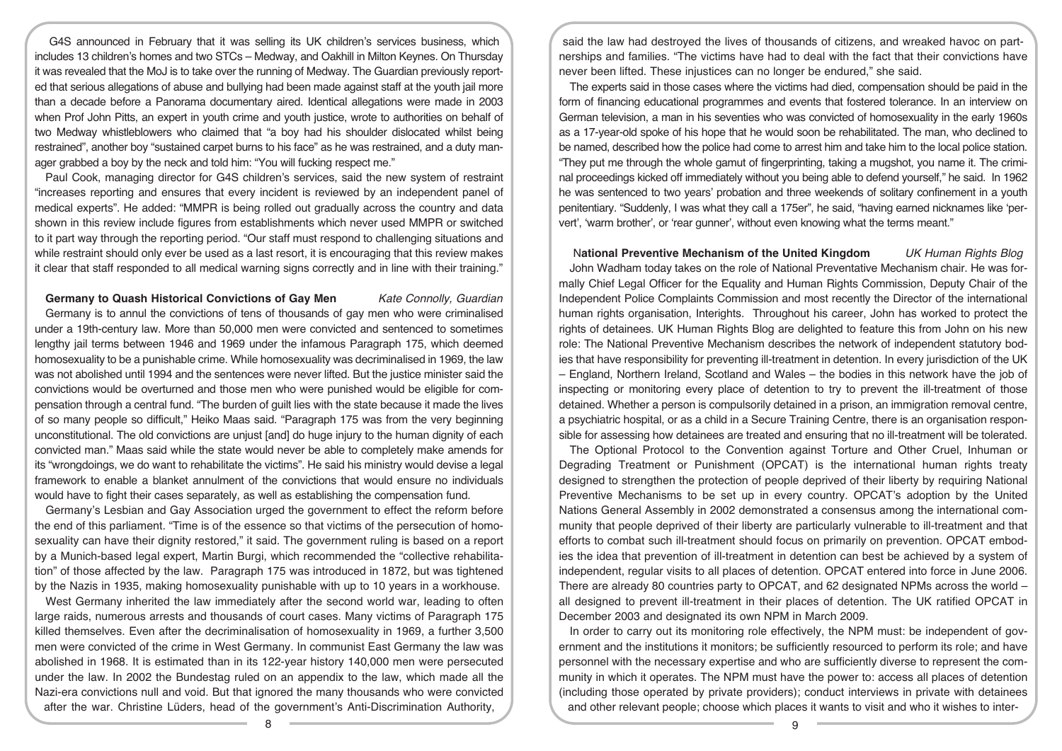G4S announced in February that it was selling its UK children's services business, which includes 13 children's homes and two STCs – Medway, and Oakhill in Milton Keynes. On Thursday it was revealed that the MoJ is to take over the running of Medway. The Guardian previously reported that serious allegations of abuse and bullying had been made against staff at the youth jail more than a decade before a Panorama documentary aired. Identical allegations were made in 2003 when Prof John Pitts, an expert in youth crime and youth justice, wrote to authorities on behalf of two Medway whistleblowers who claimed that "a boy had his shoulder dislocated whilst being restrained", another boy "sustained carpet burns to his face" as he was restrained, and a duty manager grabbed a boy by the neck and told him: "You will fucking respect me."

Paul Cook, managing director for G4S children's services, said the new system of restraint "increases reporting and ensures that every incident is reviewed by an independent panel of medical experts". He added: "MMPR is being rolled out gradually across the country and data shown in this review include figures from establishments which never used MMPR or switched to it part way through the reporting period. "Our staff must respond to challenging situations and while restraint should only ever be used as a last resort, it is encouraging that this review makes it clear that staff responded to all medical warning signs correctly and in line with their training."

**Germany to Quash Historical Convictions of Gay Men** *Kate Connolly, Guardian*

Germany is to annul the convictions of tens of thousands of gay men who were criminalised under a 19th-century law. More than 50,000 men were convicted and sentenced to sometimes lengthy jail terms between 1946 and 1969 under the infamous Paragraph 175, which deemed homosexuality to be a punishable crime. While homosexuality was decriminalised in 1969, the law was not abolished until 1994 and the sentences were never lifted. But the justice minister said the convictions would be overturned and those men who were punished would be eligible for compensation through a central fund. "The burden of guilt lies with the state because it made the lives of so many people so difficult," Heiko Maas said. "Paragraph 175 was from the very beginning unconstitutional. The old convictions are unjust [and] do huge injury to the human dignity of each convicted man." Maas said while the state would never be able to completely make amends for its "wrongdoings, we do want to rehabilitate the victims". He said his ministry would devise a legal framework to enable a blanket annulment of the convictions that would ensure no individuals would have to fight their cases separately, as well as establishing the compensation fund.

Germany's Lesbian and Gay Association urged the government to effect the reform before the end of this parliament. "Time is of the essence so that victims of the persecution of homosexuality can have their dignity restored," it said. The government ruling is based on a report by a Munich-based legal expert, Martin Burgi, which recommended the "collective rehabilitation" of those affected by the law. Paragraph 175 was introduced in 1872, but was tightened by the Nazis in 1935, making homosexuality punishable with up to 10 years in a workhouse.

West Germany inherited the law immediately after the second world war, leading to often large raids, numerous arrests and thousands of court cases. Many victims of Paragraph 175 killed themselves. Even after the decriminalisation of homosexuality in 1969, a further 3,500 men were convicted of the crime in West Germany. In communist East Germany the law was abolished in 1968. It is estimated than in its 122-year history 140,000 men were persecuted under the law. In 2002 the Bundestag ruled on an appendix to the law, which made all the Nazi-era convictions null and void. But that ignored the many thousands who were convicted after the war. Christine Lüders, head of the government's Anti-Discrimination Authority,

said the law had destroyed the lives of thousands of citizens, and wreaked havoc on partnerships and families. "The victims have had to deal with the fact that their convictions have never been lifted. These injustices can no longer be endured," she said.

The experts said in those cases where the victims had died, compensation should be paid in the form of financing educational programmes and events that fostered tolerance. In an interview on German television, a man in his seventies who was convicted of homosexuality in the early 1960s as a 17-year-old spoke of his hope that he would soon be rehabilitated. The man, who declined to be named, described how the police had come to arrest him and take him to the local police station. "They put me through the whole gamut of fingerprinting, taking a mugshot, you name it. The criminal proceedings kicked off immediately without you being able to defend yourself," he said. In 1962 he was sentenced to two years' probation and three weekends of solitary confinement in a youth penitentiary. "Suddenly, I was what they call a 175er", he said, "having earned nicknames like 'pervert', 'warm brother', or 'rear gunner', without even knowing what the terms meant."

N**ational Preventive Mechanism of the United Kingdom** *UK Human Rights Blog* John Wadham today takes on the role of National Preventative Mechanism chair. He was formally Chief Legal Officer for the Equality and Human Rights Commission, Deputy Chair of the Independent Police Complaints Commission and most recently the Director of the international human rights organisation, Interights. Throughout his career, John has worked to protect the rights of detainees. UK Human Rights Blog are delighted to feature this from John on his new role: The National Preventive Mechanism describes the network of independent statutory bodies that have responsibility for preventing ill-treatment in detention. In every jurisdiction of the UK – England, Northern Ireland, Scotland and Wales – the bodies in this network have the job of inspecting or monitoring every place of detention to try to prevent the ill-treatment of those detained. Whether a person is compulsorily detained in a prison, an immigration removal centre, a psychiatric hospital, or as a child in a Secure Training Centre, there is an organisation responsible for assessing how detainees are treated and ensuring that no ill-treatment will be tolerated.

The Optional Protocol to the Convention against Torture and Other Cruel, Inhuman or Degrading Treatment or Punishment (OPCAT) is the international human rights treaty designed to strengthen the protection of people deprived of their liberty by requiring National Preventive Mechanisms to be set up in every country. OPCAT's adoption by the United Nations General Assembly in 2002 demonstrated a consensus among the international community that people deprived of their liberty are particularly vulnerable to ill-treatment and that efforts to combat such ill-treatment should focus on primarily on prevention. OPCAT embodies the idea that prevention of ill-treatment in detention can best be achieved by a system of independent, regular visits to all places of detention. OPCAT entered into force in June 2006. There are already 80 countries party to OPCAT, and 62 designated NPMs across the world – all designed to prevent ill-treatment in their places of detention. The UK ratified OPCAT in December 2003 and designated its own NPM in March 2009.

In order to carry out its monitoring role effectively, the NPM must: be independent of government and the institutions it monitors; be sufficiently resourced to perform its role; and have personnel with the necessary expertise and who are sufficiently diverse to represent the community in which it operates. The NPM must have the power to: access all places of detention (including those operated by private providers); conduct interviews in private with detainees and other relevant people; choose which places it wants to visit and who it wishes to inter-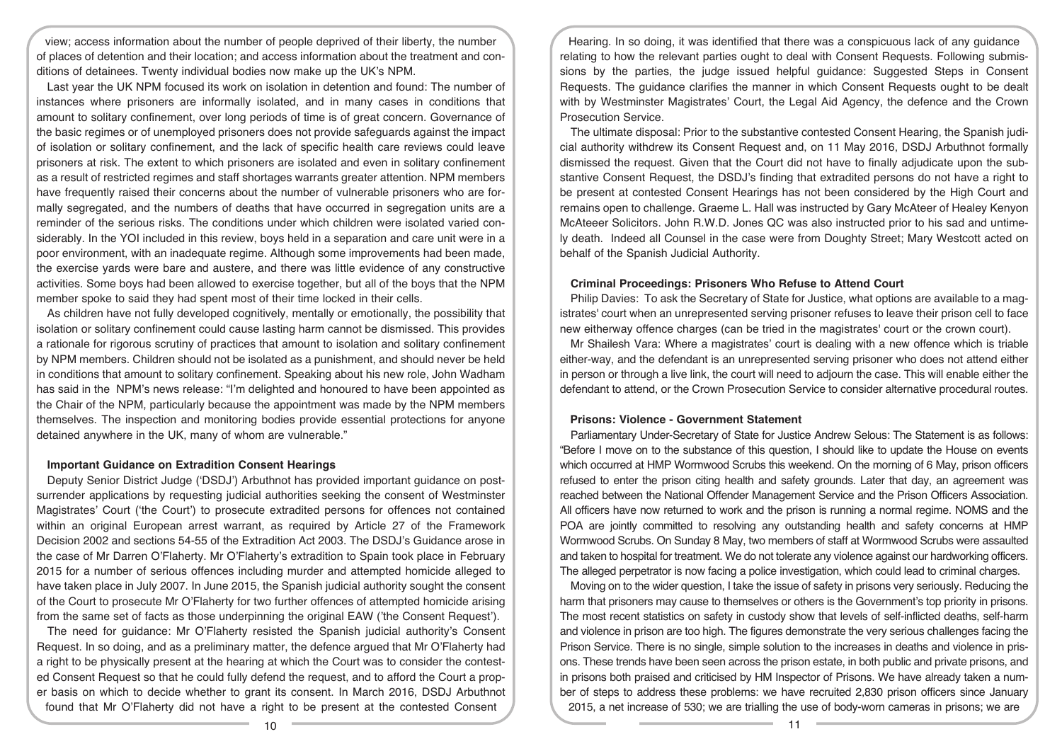view; access information about the number of people deprived of their liberty, the number of places of detention and their location; and access information about the treatment and conditions of detainees. Twenty individual bodies now make up the UK's NPM.

Last year the UK NPM focused its work on isolation in detention and found: The number of instances where prisoners are informally isolated, and in many cases in conditions that amount to solitary confinement, over long periods of time is of great concern. Governance of the basic regimes or of unemployed prisoners does not provide safeguards against the impact of isolation or solitary confinement, and the lack of specific health care reviews could leave prisoners at risk. The extent to which prisoners are isolated and even in solitary confinement as a result of restricted regimes and staff shortages warrants greater attention. NPM members have frequently raised their concerns about the number of vulnerable prisoners who are formally segregated, and the numbers of deaths that have occurred in segregation units are a reminder of the serious risks. The conditions under which children were isolated varied considerably. In the YOI included in this review, boys held in a separation and care unit were in a poor environment, with an inadequate regime. Although some improvements had been made, the exercise yards were bare and austere, and there was little evidence of any constructive activities. Some boys had been allowed to exercise together, but all of the boys that the NPM member spoke to said they had spent most of their time locked in their cells.

As children have not fully developed cognitively, mentally or emotionally, the possibility that isolation or solitary confinement could cause lasting harm cannot be dismissed. This provides a rationale for rigorous scrutiny of practices that amount to isolation and solitary confinement by NPM members. Children should not be isolated as a punishment, and should never be held in conditions that amount to solitary confinement. Speaking about his new role, John Wadham has said in the NPM's news release: "I'm delighted and honoured to have been appointed as the Chair of the NPM, particularly because the appointment was made by the NPM members themselves. The inspection and monitoring bodies provide essential protections for anyone detained anywhere in the UK, many of whom are vulnerable."

### **Important Guidance on Extradition Consent Hearings**

Deputy Senior District Judge ('DSDJ') Arbuthnot has provided important guidance on postsurrender applications by requesting judicial authorities seeking the consent of Westminster Magistrates' Court ('the Court') to prosecute extradited persons for offences not contained within an original European arrest warrant, as required by Article 27 of the Framework Decision 2002 and sections 54-55 of the Extradition Act 2003. The DSDJ's Guidance arose in the case of Mr Darren O'Flaherty. Mr O'Flaherty's extradition to Spain took place in February 2015 for a number of serious offences including murder and attempted homicide alleged to have taken place in July 2007. In June 2015, the Spanish judicial authority sought the consent of the Court to prosecute Mr O'Flaherty for two further offences of attempted homicide arising from the same set of facts as those underpinning the original EAW ('the Consent Request').

The need for guidance: Mr O'Flaherty resisted the Spanish judicial authority's Consent Request. In so doing, and as a preliminary matter, the defence argued that Mr O'Flaherty had a right to be physically present at the hearing at which the Court was to consider the contested Consent Request so that he could fully defend the request, and to afford the Court a proper basis on which to decide whether to grant its consent. In March 2016, DSDJ Arbuthnot found that Mr O'Flaherty did not have a right to be present at the contested Consent

Hearing. In so doing, it was identified that there was a conspicuous lack of any guidance relating to how the relevant parties ought to deal with Consent Requests. Following submissions by the parties, the judge issued helpful guidance: Suggested Steps in Consent Requests. The guidance clarifies the manner in which Consent Requests ought to be dealt with by Westminster Magistrates' Court, the Legal Aid Agency, the defence and the Crown Prosecution Service.

The ultimate disposal: Prior to the substantive contested Consent Hearing, the Spanish judicial authority withdrew its Consent Request and, on 11 May 2016, DSDJ Arbuthnot formally dismissed the request. Given that the Court did not have to finally adjudicate upon the substantive Consent Request, the DSDJ's finding that extradited persons do not have a right to be present at contested Consent Hearings has not been considered by the High Court and remains open to challenge. Graeme L. Hall was instructed by Gary McAteer of Healey Kenyon McAteeer Solicitors. John R.W.D. Jones QC was also instructed prior to his sad and untimely death. Indeed all Counsel in the case were from Doughty Street; Mary Westcott acted on behalf of the Spanish Judicial Authority.

#### **Criminal Proceedings: Prisoners Who Refuse to Attend Court**

Philip Davies: To ask the Secretary of State for Justice, what options are available to a magistrates' court when an unrepresented serving prisoner refuses to leave their prison cell to face new eitherway offence charges (can be tried in the magistrates' court or the crown court).

Mr Shailesh Vara: Where a magistrates' court is dealing with a new offence which is triable either-way, and the defendant is an unrepresented serving prisoner who does not attend either in person or through a live link, the court will need to adjourn the case. This will enable either the defendant to attend, or the Crown Prosecution Service to consider alternative procedural routes.

## **Prisons: Violence - Government Statement**

Parliamentary Under-Secretary of State for Justice Andrew Selous: The Statement is as follows: "Before I move on to the substance of this question, I should like to update the House on events which occurred at HMP Wormwood Scrubs this weekend. On the morning of 6 May, prison officers refused to enter the prison citing health and safety grounds. Later that day, an agreement was reached between the National Offender Management Service and the Prison Officers Association. All officers have now returned to work and the prison is running a normal regime. NOMS and the POA are jointly committed to resolving any outstanding health and safety concerns at HMP Wormwood Scrubs. On Sunday 8 May, two members of staff at Wormwood Scrubs were assaulted and taken to hospital for treatment. We do not tolerate any violence against our hardworking officers. The alleged perpetrator is now facing a police investigation, which could lead to criminal charges.

Moving on to the wider question, I take the issue of safety in prisons very seriously. Reducing the harm that prisoners may cause to themselves or others is the Government's top priority in prisons. The most recent statistics on safety in custody show that levels of self-inflicted deaths, self-harm and violence in prison are too high. The figures demonstrate the very serious challenges facing the Prison Service. There is no single, simple solution to the increases in deaths and violence in prisons. These trends have been seen across the prison estate, in both public and private prisons, and in prisons both praised and criticised by HM Inspector of Prisons. We have already taken a number of steps to address these problems: we have recruited 2,830 prison officers since January 2015, a net increase of 530; we are trialling the use of body-worn cameras in prisons; we are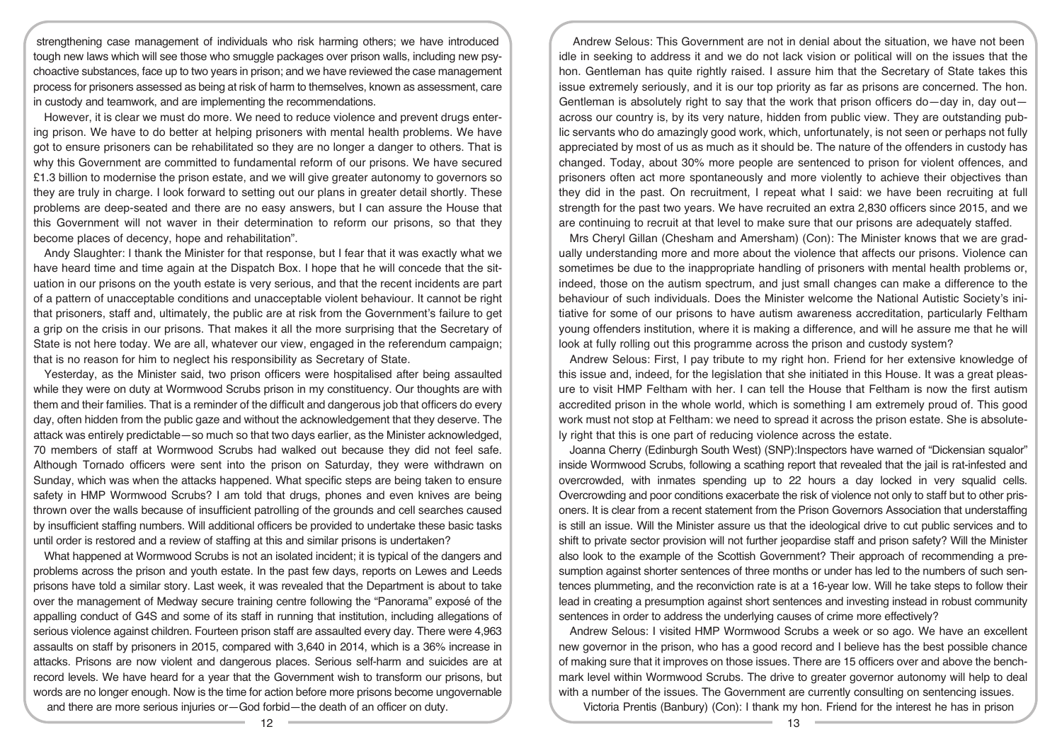strengthening case management of individuals who risk harming others; we have introduced tough new laws which will see those who smuggle packages over prison walls, including new psychoactive substances, face up to two years in prison; and we have reviewed the case management process for prisoners assessed as being at risk of harm to themselves, known as assessment, care in custody and teamwork, and are implementing the recommendations.

However, it is clear we must do more. We need to reduce violence and prevent drugs entering prison. We have to do better at helping prisoners with mental health problems. We have got to ensure prisoners can be rehabilitated so they are no longer a danger to others. That is why this Government are committed to fundamental reform of our prisons. We have secured £1.3 billion to modernise the prison estate, and we will give greater autonomy to governors so they are truly in charge. I look forward to setting out our plans in greater detail shortly. These problems are deep-seated and there are no easy answers, but I can assure the House that this Government will not waver in their determination to reform our prisons, so that they become places of decency, hope and rehabilitation".

Andy Slaughter: I thank the Minister for that response, but I fear that it was exactly what we have heard time and time again at the Dispatch Box. I hope that he will concede that the situation in our prisons on the youth estate is very serious, and that the recent incidents are part of a pattern of unacceptable conditions and unacceptable violent behaviour. It cannot be right that prisoners, staff and, ultimately, the public are at risk from the Government's failure to get a grip on the crisis in our prisons. That makes it all the more surprising that the Secretary of State is not here today. We are all, whatever our view, engaged in the referendum campaign; that is no reason for him to neglect his responsibility as Secretary of State.

Yesterday, as the Minister said, two prison officers were hospitalised after being assaulted while they were on duty at Wormwood Scrubs prison in my constituency. Our thoughts are with them and their families. That is a reminder of the difficult and dangerous job that officers do every day, often hidden from the public gaze and without the acknowledgement that they deserve. The attack was entirely predictable—so much so that two days earlier, as the Minister acknowledged, 70 members of staff at Wormwood Scrubs had walked out because they did not feel safe. Although Tornado officers were sent into the prison on Saturday, they were withdrawn on Sunday, which was when the attacks happened. What specific steps are being taken to ensure safety in HMP Wormwood Scrubs? I am told that drugs, phones and even knives are being thrown over the walls because of insufficient patrolling of the grounds and cell searches caused by insufficient staffing numbers. Will additional officers be provided to undertake these basic tasks until order is restored and a review of staffing at this and similar prisons is undertaken?

What happened at Wormwood Scrubs is not an isolated incident; it is typical of the dangers and problems across the prison and youth estate. In the past few days, reports on Lewes and Leeds prisons have told a similar story. Last week, it was revealed that the Department is about to take over the management of Medway secure training centre following the "Panorama" exposé of the appalling conduct of G4S and some of its staff in running that institution, including allegations of serious violence against children. Fourteen prison staff are assaulted every day. There were 4,963 assaults on staff by prisoners in 2015, compared with 3,640 in 2014, which is a 36% increase in attacks. Prisons are now violent and dangerous places. Serious self-harm and suicides are at record levels. We have heard for a year that the Government wish to transform our prisons, but words are no longer enough. Now is the time for action before more prisons become ungovernable and there are more serious injuries or—God forbid—the death of an officer on duty.

Andrew Selous: This Government are not in denial about the situation, we have not been idle in seeking to address it and we do not lack vision or political will on the issues that the hon. Gentleman has quite rightly raised. I assure him that the Secretary of State takes this issue extremely seriously, and it is our top priority as far as prisons are concerned. The hon. Gentleman is absolutely right to say that the work that prison officers do—day in, day out across our country is, by its very nature, hidden from public view. They are outstanding public servants who do amazingly good work, which, unfortunately, is not seen or perhaps not fully appreciated by most of us as much as it should be. The nature of the offenders in custody has changed. Today, about 30% more people are sentenced to prison for violent offences, and prisoners often act more spontaneously and more violently to achieve their objectives than they did in the past. On recruitment, I repeat what I said: we have been recruiting at full strength for the past two years. We have recruited an extra 2,830 officers since 2015, and we are continuing to recruit at that level to make sure that our prisons are adequately staffed.

Mrs Cheryl Gillan (Chesham and Amersham) (Con): The Minister knows that we are gradually understanding more and more about the violence that affects our prisons. Violence can sometimes be due to the inappropriate handling of prisoners with mental health problems or, indeed, those on the autism spectrum, and just small changes can make a difference to the behaviour of such individuals. Does the Minister welcome the National Autistic Society's initiative for some of our prisons to have autism awareness accreditation, particularly Feltham young offenders institution, where it is making a difference, and will he assure me that he will look at fully rolling out this programme across the prison and custody system?

Andrew Selous: First, I pay tribute to my right hon. Friend for her extensive knowledge of this issue and, indeed, for the legislation that she initiated in this House. It was a great pleasure to visit HMP Feltham with her. I can tell the House that Feltham is now the first autism accredited prison in the whole world, which is something I am extremely proud of. This good work must not stop at Feltham: we need to spread it across the prison estate. She is absolutely right that this is one part of reducing violence across the estate.

Joanna Cherry (Edinburgh South West) (SNP):Inspectors have warned of "Dickensian squalor" inside Wormwood Scrubs, following a scathing report that revealed that the jail is rat-infested and overcrowded, with inmates spending up to 22 hours a day locked in very squalid cells. Overcrowding and poor conditions exacerbate the risk of violence not only to staff but to other prisoners. It is clear from a recent statement from the Prison Governors Association that understaffing is still an issue. Will the Minister assure us that the ideological drive to cut public services and to shift to private sector provision will not further jeopardise staff and prison safety? Will the Minister also look to the example of the Scottish Government? Their approach of recommending a presumption against shorter sentences of three months or under has led to the numbers of such sentences plummeting, and the reconviction rate is at a 16-year low. Will he take steps to follow their lead in creating a presumption against short sentences and investing instead in robust community sentences in order to address the underlying causes of crime more effectively?

Andrew Selous: I visited HMP Wormwood Scrubs a week or so ago. We have an excellent new governor in the prison, who has a good record and I believe has the best possible chance of making sure that it improves on those issues. There are 15 officers over and above the benchmark level within Wormwood Scrubs. The drive to greater governor autonomy will help to deal with a number of the issues. The Government are currently consulting on sentencing issues.

Victoria Prentis (Banbury) (Con): I thank my hon. Friend for the interest he has in prison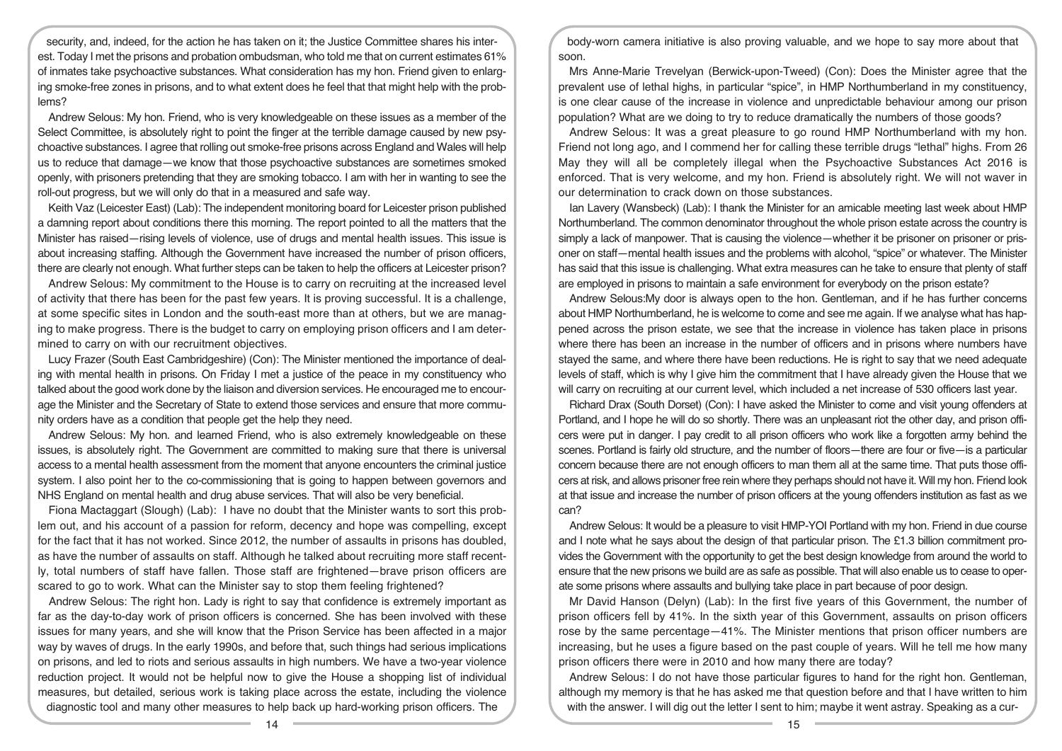security, and, indeed, for the action he has taken on it; the Justice Committee shares his interest. Today I met the prisons and probation ombudsman, who told me that on current estimates 61% of inmates take psychoactive substances. What consideration has my hon. Friend given to enlarging smoke-free zones in prisons, and to what extent does he feel that that might help with the problems?

Andrew Selous: My hon. Friend, who is very knowledgeable on these issues as a member of the Select Committee, is absolutely right to point the finger at the terrible damage caused by new psychoactive substances. I agree that rolling out smoke-free prisons across England and Wales will help us to reduce that damage—we know that those psychoactive substances are sometimes smoked openly, with prisoners pretending that they are smoking tobacco. I am with her in wanting to see the roll-out progress, but we will only do that in a measured and safe way.

Keith Vaz (Leicester East) (Lab): The independent monitoring board for Leicester prison published a damning report about conditions there this morning. The report pointed to all the matters that the Minister has raised—rising levels of violence, use of drugs and mental health issues. This issue is about increasing staffing. Although the Government have increased the number of prison officers, there are clearly not enough. What further steps can be taken to help the officers at Leicester prison?

Andrew Selous: My commitment to the House is to carry on recruiting at the increased level of activity that there has been for the past few years. It is proving successful. It is a challenge, at some specific sites in London and the south-east more than at others, but we are managing to make progress. There is the budget to carry on employing prison officers and I am determined to carry on with our recruitment objectives.

Lucy Frazer (South East Cambridgeshire) (Con): The Minister mentioned the importance of dealing with mental health in prisons. On Friday I met a justice of the peace in my constituency who talked about the good work done by the liaison and diversion services. He encouraged me to encourage the Minister and the Secretary of State to extend those services and ensure that more community orders have as a condition that people get the help they need.

Andrew Selous: My hon. and learned Friend, who is also extremely knowledgeable on these issues, is absolutely right. The Government are committed to making sure that there is universal access to a mental health assessment from the moment that anyone encounters the criminal justice system. I also point her to the co-commissioning that is going to happen between governors and NHS England on mental health and drug abuse services. That will also be very beneficial.

Fiona Mactaggart (Slough) (Lab): I have no doubt that the Minister wants to sort this problem out, and his account of a passion for reform, decency and hope was compelling, except for the fact that it has not worked. Since 2012, the number of assaults in prisons has doubled, as have the number of assaults on staff. Although he talked about recruiting more staff recently, total numbers of staff have fallen. Those staff are frightened—brave prison officers are scared to go to work. What can the Minister say to stop them feeling frightened?

Andrew Selous: The right hon. Lady is right to say that confidence is extremely important as far as the day-to-day work of prison officers is concerned. She has been involved with these issues for many years, and she will know that the Prison Service has been affected in a major way by waves of drugs. In the early 1990s, and before that, such things had serious implications on prisons, and led to riots and serious assaults in high numbers. We have a two-year violence reduction project. It would not be helpful now to give the House a shopping list of individual measures, but detailed, serious work is taking place across the estate, including the violence diagnostic tool and many other measures to help back up hard-working prison officers. The

body-worn camera initiative is also proving valuable, and we hope to say more about that soon.

Mrs Anne-Marie Trevelyan (Berwick-upon-Tweed) (Con): Does the Minister agree that the prevalent use of lethal highs, in particular "spice", in HMP Northumberland in my constituency, is one clear cause of the increase in violence and unpredictable behaviour among our prison population? What are we doing to try to reduce dramatically the numbers of those goods?

Andrew Selous: It was a great pleasure to go round HMP Northumberland with my hon. Friend not long ago, and I commend her for calling these terrible drugs "lethal" highs. From 26 May they will all be completely illegal when the Psychoactive Substances Act 2016 is enforced. That is very welcome, and my hon. Friend is absolutely right. We will not waver in our determination to crack down on those substances.

Ian Lavery (Wansbeck) (Lab): I thank the Minister for an amicable meeting last week about HMP Northumberland. The common denominator throughout the whole prison estate across the country is simply a lack of manpower. That is causing the violence—whether it be prisoner on prisoner or prisoner on staff—mental health issues and the problems with alcohol, "spice" or whatever. The Minister has said that this issue is challenging. What extra measures can he take to ensure that plenty of staff are employed in prisons to maintain a safe environment for everybody on the prison estate?

Andrew Selous:My door is always open to the hon. Gentleman, and if he has further concerns about HMP Northumberland, he is welcome to come and see me again. If we analyse what has happened across the prison estate, we see that the increase in violence has taken place in prisons where there has been an increase in the number of officers and in prisons where numbers have stayed the same, and where there have been reductions. He is right to say that we need adequate levels of staff, which is why I give him the commitment that I have already given the House that we will carry on recruiting at our current level, which included a net increase of 530 officers last year.

Richard Drax (South Dorset) (Con): I have asked the Minister to come and visit young offenders at Portland, and I hope he will do so shortly. There was an unpleasant riot the other day, and prison officers were put in danger. I pay credit to all prison officers who work like a forgotten army behind the scenes. Portland is fairly old structure, and the number of floors—there are four or five—is a particular concern because there are not enough officers to man them all at the same time. That puts those officers at risk, and allows prisoner free rein where they perhaps should not have it. Will my hon. Friend look at that issue and increase the number of prison officers at the young offenders institution as fast as we can?

Andrew Selous: It would be a pleasure to visit HMP-YOI Portland with my hon. Friend in due course and I note what he says about the design of that particular prison. The £1.3 billion commitment provides the Government with the opportunity to get the best design knowledge from around the world to ensure that the new prisons we build are as safe as possible. That will also enable us to cease to operate some prisons where assaults and bullying take place in part because of poor design.

Mr David Hanson (Delyn) (Lab): In the first five years of this Government, the number of prison officers fell by 41%. In the sixth year of this Government, assaults on prison officers rose by the same percentage—41%. The Minister mentions that prison officer numbers are increasing, but he uses a figure based on the past couple of years. Will he tell me how many prison officers there were in 2010 and how many there are today?

Andrew Selous: I do not have those particular figures to hand for the right hon. Gentleman, although my memory is that he has asked me that question before and that I have written to him with the answer. I will dig out the letter I sent to him; maybe it went astray. Speaking as a cur-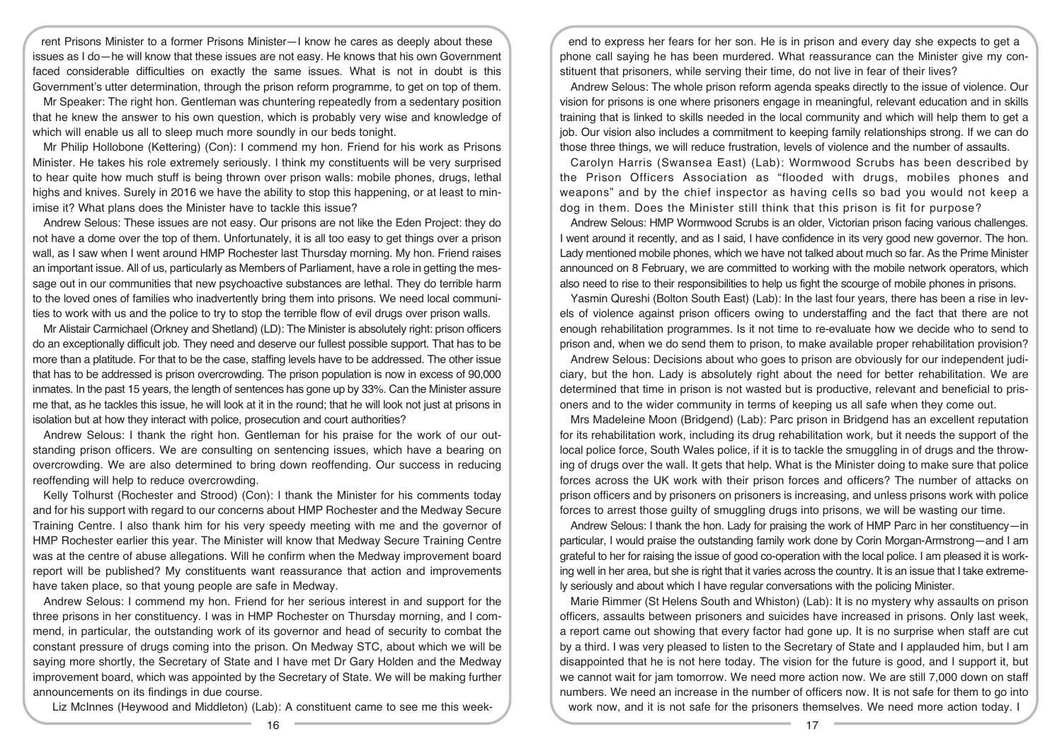rent Prisons Minister to a former Prisons Minister—I know he cares as deeply about these issues as I do—he will know that these issues are not easy. He knows that his own Government faced considerable difficulties on exactly the same issues. What is not in doubt is this Government's utter determination, through the prison reform programme, to get on top of them.

Mr Speaker: The right hon. Gentleman was chuntering repeatedly from a sedentary position that he knew the answer to his own question, which is probably very wise and knowledge of which will enable us all to sleep much more soundly in our beds tonight.

Mr Philip Hollobone (Kettering) (Con): I commend my hon. Friend for his work as Prisons Minister. He takes his role extremely seriously. I think my constituents will be very surprised to hear quite how much stuff is being thrown over prison walls: mobile phones, drugs, lethal highs and knives. Surely in 2016 we have the ability to stop this happening, or at least to minimise it? What plans does the Minister have to tackle this issue?

Andrew Selous: These issues are not easy. Our prisons are not like the Eden Project: they do not have a dome over the top of them. Unfortunately, it is all too easy to get things over a prison wall, as I saw when I went around HMP Rochester last Thursday morning. My hon. Friend raises an important issue. All of us, particularly as Members of Parliament, have a role in getting the message out in our communities that new psychoactive substances are lethal. They do terrible harm to the loved ones of families who inadvertently bring them into prisons. We need local communities to work with us and the police to try to stop the terrible flow of evil drugs over prison walls.

Mr Alistair Carmichael (Orkney and Shetland) (LD): The Minister is absolutely right: prison officers do an exceptionally difficult job. They need and deserve our fullest possible support. That has to be more than a platitude. For that to be the case, staffing levels have to be addressed. The other issue that has to be addressed is prison overcrowding. The prison population is now in excess of 90,000 inmates. In the past 15 years, the length of sentences has gone up by 33%. Can the Minister assure me that, as he tackles this issue, he will look at it in the round; that he will look not just at prisons in isolation but at how they interact with police, prosecution and court authorities?

Andrew Selous: I thank the right hon. Gentleman for his praise for the work of our outstanding prison officers. We are consulting on sentencing issues, which have a bearing on overcrowding. We are also determined to bring down reoffending. Our success in reducing reoffending will help to reduce overcrowding.

Kelly Tolhurst (Rochester and Strood) (Con): I thank the Minister for his comments today and for his support with regard to our concerns about HMP Rochester and the Medway Secure Training Centre. I also thank him for his very speedy meeting with me and the governor of HMP Rochester earlier this year. The Minister will know that Medway Secure Training Centre was at the centre of abuse allegations. Will he confirm when the Medway improvement board report will be published? My constituents want reassurance that action and improvements have taken place, so that young people are safe in Medway.

Andrew Selous: I commend my hon. Friend for her serious interest in and support for the three prisons in her constituency. I was in HMP Rochester on Thursday morning, and I commend, in particular, the outstanding work of its governor and head of security to combat the constant pressure of drugs coming into the prison. On Medway STC, about which we will be saying more shortly, the Secretary of State and I have met Dr Gary Holden and the Medway improvement board, which was appointed by the Secretary of State. We will be making further announcements on its findings in due course.

Liz McInnes (Heywood and Middleton) (Lab): A constituent came to see me this week-

end to express her fears for her son. He is in prison and every day she expects to get a phone call saying he has been murdered. What reassurance can the Minister give my constituent that prisoners, while serving their time, do not live in fear of their lives?

Andrew Selous: The whole prison reform agenda speaks directly to the issue of violence. Our vision for prisons is one where prisoners engage in meaningful, relevant education and in skills training that is linked to skills needed in the local community and which will help them to get a job. Our vision also includes a commitment to keeping family relationships strong. If we can do those three things, we will reduce frustration, levels of violence and the number of assaults.

Carolyn Harris (Swansea East) (Lab): Wormwood Scrubs has been described by the Prison Officers Association as "flooded with drugs, mobiles phones and weapons" and by the chief inspector as having cells so bad you would not keep a dog in them. Does the Minister still think that this prison is fit for purpose?

Andrew Selous: HMP Wormwood Scrubs is an older, Victorian prison facing various challenges. I went around it recently, and as I said, I have confidence in its very good new governor. The hon. Lady mentioned mobile phones, which we have not talked about much so far. As the Prime Minister announced on 8 February, we are committed to working with the mobile network operators, which also need to rise to their responsibilities to help us fight the scourge of mobile phones in prisons.

Yasmin Qureshi (Bolton South East) (Lab): In the last four years, there has been a rise in levels of violence against prison officers owing to understaffing and the fact that there are not enough rehabilitation programmes. Is it not time to re-evaluate how we decide who to send to prison and, when we do send them to prison, to make available proper rehabilitation provision?

Andrew Selous: Decisions about who goes to prison are obviously for our independent judiciary, but the hon. Lady is absolutely right about the need for better rehabilitation. We are determined that time in prison is not wasted but is productive, relevant and beneficial to prisoners and to the wider community in terms of keeping us all safe when they come out.

Mrs Madeleine Moon (Bridgend) (Lab): Parc prison in Bridgend has an excellent reputation for its rehabilitation work, including its drug rehabilitation work, but it needs the support of the local police force, South Wales police, if it is to tackle the smuggling in of drugs and the throwing of drugs over the wall. It gets that help. What is the Minister doing to make sure that police forces across the UK work with their prison forces and officers? The number of attacks on prison officers and by prisoners on prisoners is increasing, and unless prisons work with police forces to arrest those guilty of smuggling drugs into prisons, we will be wasting our time.

Andrew Selous: I thank the hon. Lady for praising the work of HMP Parc in her constituency—in particular, I would praise the outstanding family work done by Corin Morgan-Armstrong—and I am grateful to her for raising the issue of good co-operation with the local police. I am pleased it is working well in her area, but she is right that it varies across the country. It is an issue that I take extremely seriously and about which I have regular conversations with the policing Minister.

Marie Rimmer (St Helens South and Whiston) (Lab): It is no mystery why assaults on prison officers, assaults between prisoners and suicides have increased in prisons. Only last week, a report came out showing that every factor had gone up. It is no surprise when staff are cut by a third. I was very pleased to listen to the Secretary of State and I applauded him, but I am disappointed that he is not here today. The vision for the future is good, and I support it, but we cannot wait for jam tomorrow. We need more action now. We are still 7,000 down on staff numbers. We need an increase in the number of officers now. It is not safe for them to go into work now, and it is not safe for the prisoners themselves. We need more action today. I